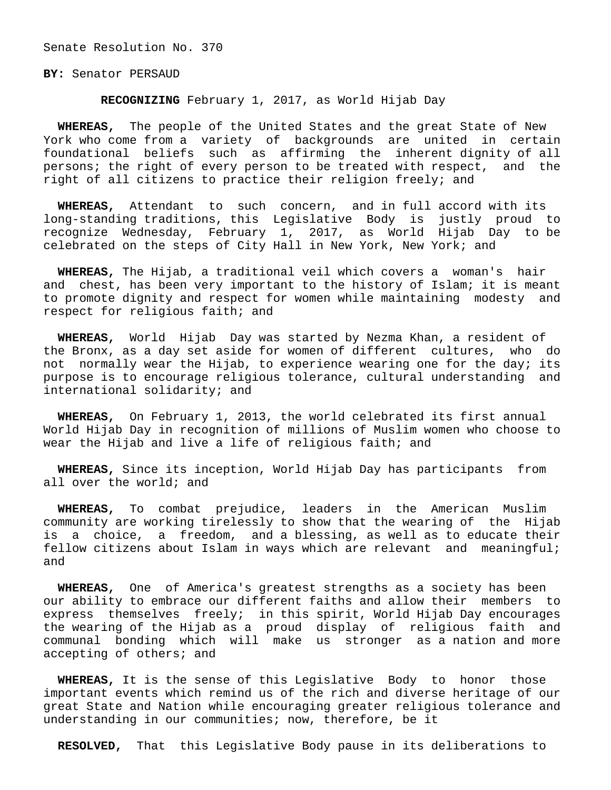Senate Resolution No. 370

**BY:** Senator PERSAUD

**RECOGNIZING** February 1, 2017, as World Hijab Day

 **WHEREAS,** The people of the United States and the great State of New York who come from a variety of backgrounds are united in certain foundational beliefs such as affirming the inherent dignity of all persons; the right of every person to be treated with respect, and the right of all citizens to practice their religion freely; and

 **WHEREAS,** Attendant to such concern, and in full accord with its long-standing traditions, this Legislative Body is justly proud to recognize Wednesday, February 1, 2017, as World Hijab Day to be celebrated on the steps of City Hall in New York, New York; and

 **WHEREAS,** The Hijab, a traditional veil which covers a woman's hair and chest, has been very important to the history of Islam; it is meant to promote dignity and respect for women while maintaining modesty and respect for religious faith; and

 **WHEREAS,** World Hijab Day was started by Nezma Khan, a resident of the Bronx, as a day set aside for women of different cultures, who do not normally wear the Hijab, to experience wearing one for the day; its purpose is to encourage religious tolerance, cultural understanding and international solidarity; and

 **WHEREAS,** On February 1, 2013, the world celebrated its first annual World Hijab Day in recognition of millions of Muslim women who choose to wear the Hijab and live a life of religious faith; and

 **WHEREAS,** Since its inception, World Hijab Day has participants from all over the world; and

 **WHEREAS,** To combat prejudice, leaders in the American Muslim community are working tirelessly to show that the wearing of the Hijab is a choice, a freedom, and a blessing, as well as to educate their fellow citizens about Islam in ways which are relevant and meaningful; and

 **WHEREAS,** One of America's greatest strengths as a society has been our ability to embrace our different faiths and allow their members to express themselves freely; in this spirit, World Hijab Day encourages the wearing of the Hijab as a proud display of religious faith and communal bonding which will make us stronger as a nation and more accepting of others; and

 **WHEREAS,** It is the sense of this Legislative Body to honor those important events which remind us of the rich and diverse heritage of our great State and Nation while encouraging greater religious tolerance and understanding in our communities; now, therefore, be it

**RESOLVED,** That this Legislative Body pause in its deliberations to